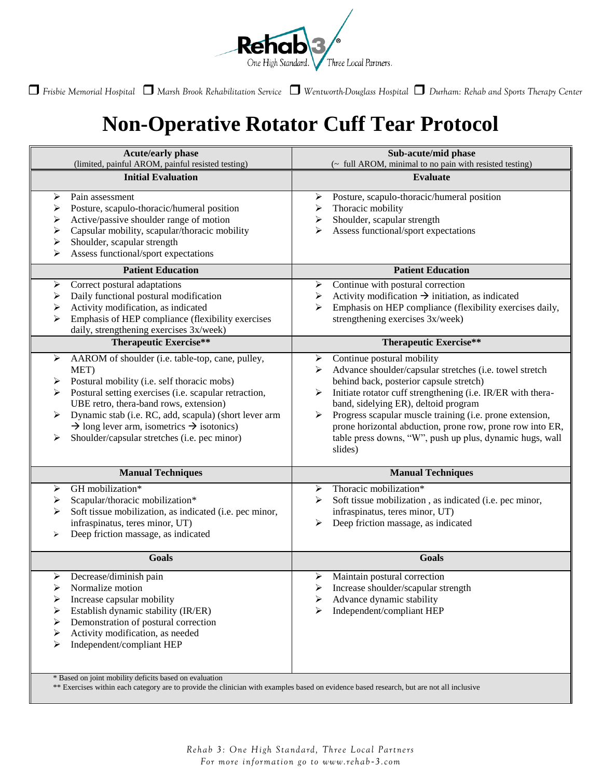

*Frisbie Memorial Hospital Marsh Brook Rehabilitation Service Wentworth-Douglass Hospital Durham: Rehab and Sports Therapy Center*

## **Non-Operative Rotator Cuff Tear Protocol**

| <b>Acute/early phase</b>                                                                                                                                                                                                                                                                                                                                                                                     | Sub-acute/mid phase                                                                                                                                                                                                                                                                                                                                                                                                                                         |
|--------------------------------------------------------------------------------------------------------------------------------------------------------------------------------------------------------------------------------------------------------------------------------------------------------------------------------------------------------------------------------------------------------------|-------------------------------------------------------------------------------------------------------------------------------------------------------------------------------------------------------------------------------------------------------------------------------------------------------------------------------------------------------------------------------------------------------------------------------------------------------------|
| (limited, painful AROM, painful resisted testing)                                                                                                                                                                                                                                                                                                                                                            | (~ full AROM, minimal to no pain with resisted testing)                                                                                                                                                                                                                                                                                                                                                                                                     |
| <b>Initial Evaluation</b>                                                                                                                                                                                                                                                                                                                                                                                    | <b>Evaluate</b>                                                                                                                                                                                                                                                                                                                                                                                                                                             |
| Pain assessment<br>⋗<br>Posture, scapulo-thoracic/humeral position<br>⋗<br>Active/passive shoulder range of motion<br>⋗<br>Capsular mobility, scapular/thoracic mobility<br>⋗<br>Shoulder, scapular strength<br>⋗<br>Assess functional/sport expectations<br>➢                                                                                                                                               | Posture, scapulo-thoracic/humeral position<br>➤<br>Thoracic mobility<br>➤<br>Shoulder, scapular strength<br>➤<br>Assess functional/sport expectations<br>⋗                                                                                                                                                                                                                                                                                                  |
| <b>Patient Education</b>                                                                                                                                                                                                                                                                                                                                                                                     | <b>Patient Education</b>                                                                                                                                                                                                                                                                                                                                                                                                                                    |
| Correct postural adaptations<br>➤<br>Daily functional postural modification<br>➤<br>Activity modification, as indicated<br>⋗<br>Emphasis of HEP compliance (flexibility exercises<br>⋗<br>daily, strengthening exercises 3x/week)                                                                                                                                                                            | Continue with postural correction<br>➤<br>Activity modification $\rightarrow$ initiation, as indicated<br>➤<br>Emphasis on HEP compliance (flexibility exercises daily,<br>➤<br>strengthening exercises 3x/week)                                                                                                                                                                                                                                            |
| <b>Therapeutic Exercise**</b>                                                                                                                                                                                                                                                                                                                                                                                | <b>Therapeutic Exercise**</b>                                                                                                                                                                                                                                                                                                                                                                                                                               |
| AAROM of shoulder (i.e. table-top, cane, pulley,<br>➤<br>MET)<br>Postural mobility (i.e. self thoracic mobs)<br>Postural setting exercises (i.e. scapular retraction,<br>⋗<br>UBE retro, thera-band rows, extension)<br>Dynamic stab (i.e. RC, add, scapula) (short lever arm<br>➤<br>$\rightarrow$ long lever arm, isometrics $\rightarrow$ isotonics)<br>Shoulder/capsular stretches (i.e. pec minor)<br>➤ | Continue postural mobility<br>➤<br>Advance shoulder/capsular stretches (i.e. towel stretch<br>⋗<br>behind back, posterior capsule stretch)<br>Initiate rotator cuff strengthening (i.e. IR/ER with thera-<br>➤<br>band, sidelying ER), deltoid program<br>Progress scapular muscle training (i.e. prone extension,<br>≻<br>prone horizontal abduction, prone row, prone row into ER,<br>table press downs, "W", push up plus, dynamic hugs, wall<br>slides) |
| <b>Manual Techniques</b>                                                                                                                                                                                                                                                                                                                                                                                     | <b>Manual Techniques</b>                                                                                                                                                                                                                                                                                                                                                                                                                                    |
| GH mobilization*<br>➤<br>Scapular/thoracic mobilization*<br>➤<br>Soft tissue mobilization, as indicated (i.e. pec minor,<br>⋗<br>infraspinatus, teres minor, UT)<br>Deep friction massage, as indicated<br>⋗<br>Goals                                                                                                                                                                                        | Thoracic mobilization*<br>➤<br>Soft tissue mobilization, as indicated (i.e. pec minor,<br>⋗<br>infraspinatus, teres minor, UT)<br>Deep friction massage, as indicated<br>≻<br><b>Goals</b>                                                                                                                                                                                                                                                                  |
| Decrease/diminish pain<br>➤<br>Normalize motion<br>⋗<br>Increase capsular mobility<br>⋗<br>Establish dynamic stability (IR/ER)<br>⋗<br>Demonstration of postural correction<br>➤<br>Activity modification, as needed<br>➤<br>Independent/compliant HEP<br>➤<br>* Based on joint mobility deficits based on evaluation                                                                                        | Maintain postural correction<br>➤<br>Increase shoulder/scapular strength<br>➤<br>Advance dynamic stability<br>Independent/compliant HEP                                                                                                                                                                                                                                                                                                                     |

\*\* Exercises within each category are to provide the clinician with examples based on evidence based research, but are not all inclusive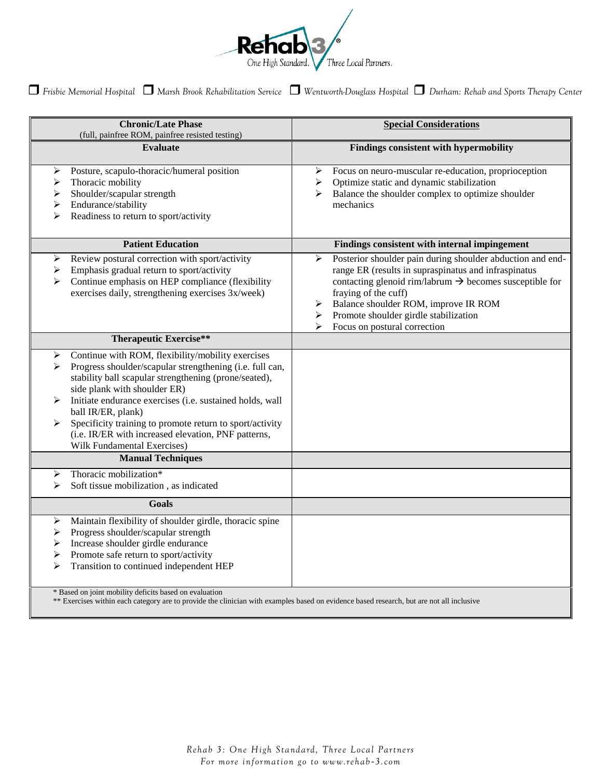

*Frisbie Memorial Hospital Marsh Brook Rehabilitation Service Wentworth-Douglass Hospital Durham: Rehab and Sports Therapy Center*

| (full, painfree ROM, painfree resisted testing)<br><b>Evaluate</b>                                                                                                                                                                                                                                                                                                                                                                                             | Findings consistent with hypermobility                                                                                                                                                                                                                                                                                                                 |
|----------------------------------------------------------------------------------------------------------------------------------------------------------------------------------------------------------------------------------------------------------------------------------------------------------------------------------------------------------------------------------------------------------------------------------------------------------------|--------------------------------------------------------------------------------------------------------------------------------------------------------------------------------------------------------------------------------------------------------------------------------------------------------------------------------------------------------|
|                                                                                                                                                                                                                                                                                                                                                                                                                                                                |                                                                                                                                                                                                                                                                                                                                                        |
| Posture, scapulo-thoracic/humeral position<br>➤<br>Thoracic mobility<br>➤<br>Shoulder/scapular strength<br>≻<br>Endurance/stability<br>➤<br>Readiness to return to sport/activity<br>➤                                                                                                                                                                                                                                                                         | Focus on neuro-muscular re-education, proprioception<br>➤<br>Optimize static and dynamic stabilization<br>➤<br>Balance the shoulder complex to optimize shoulder<br>➤<br>mechanics                                                                                                                                                                     |
| <b>Patient Education</b>                                                                                                                                                                                                                                                                                                                                                                                                                                       | Findings consistent with internal impingement                                                                                                                                                                                                                                                                                                          |
| Review postural correction with sport/activity<br>➤<br>Emphasis gradual return to sport/activity<br>➤<br>Continue emphasis on HEP compliance (flexibility<br>➤<br>exercises daily, strengthening exercises 3x/week)                                                                                                                                                                                                                                            | Posterior shoulder pain during shoulder abduction and end-<br>➤<br>range ER (results in supraspinatus and infraspinatus<br>contacting glenoid rim/labrum $\rightarrow$ becomes susceptible for<br>fraying of the cuff)<br>Balance shoulder ROM, improve IR ROM<br>➤<br>Promote shoulder girdle stabilization<br>➤<br>Focus on postural correction<br>➤ |
| <b>Therapeutic Exercise**</b>                                                                                                                                                                                                                                                                                                                                                                                                                                  |                                                                                                                                                                                                                                                                                                                                                        |
| Continue with ROM, flexibility/mobility exercises<br>➤<br>Progress shoulder/scapular strengthening (i.e. full can,<br>➤<br>stability ball scapular strengthening (prone/seated),<br>side plank with shoulder ER)<br>Initiate endurance exercises (i.e. sustained holds, wall<br>⋗<br>ball IR/ER, plank)<br>Specificity training to promote return to sport/activity<br>⋗<br>(i.e. IR/ER with increased elevation, PNF patterns,<br>Wilk Fundamental Exercises) |                                                                                                                                                                                                                                                                                                                                                        |
| <b>Manual Techniques</b>                                                                                                                                                                                                                                                                                                                                                                                                                                       |                                                                                                                                                                                                                                                                                                                                                        |
| Thoracic mobilization*<br>➤<br>Soft tissue mobilization, as indicated<br>⋗                                                                                                                                                                                                                                                                                                                                                                                     |                                                                                                                                                                                                                                                                                                                                                        |
| <b>Goals</b>                                                                                                                                                                                                                                                                                                                                                                                                                                                   |                                                                                                                                                                                                                                                                                                                                                        |
| Maintain flexibility of shoulder girdle, thoracic spine<br>➤<br>Progress shoulder/scapular strength<br>➤<br>Increase shoulder girdle endurance<br>➤<br>Promote safe return to sport/activity<br>➤<br>Transition to continued independent HEP<br>➤<br>* Based on joint mobility deficits based on evaluation                                                                                                                                                    |                                                                                                                                                                                                                                                                                                                                                        |